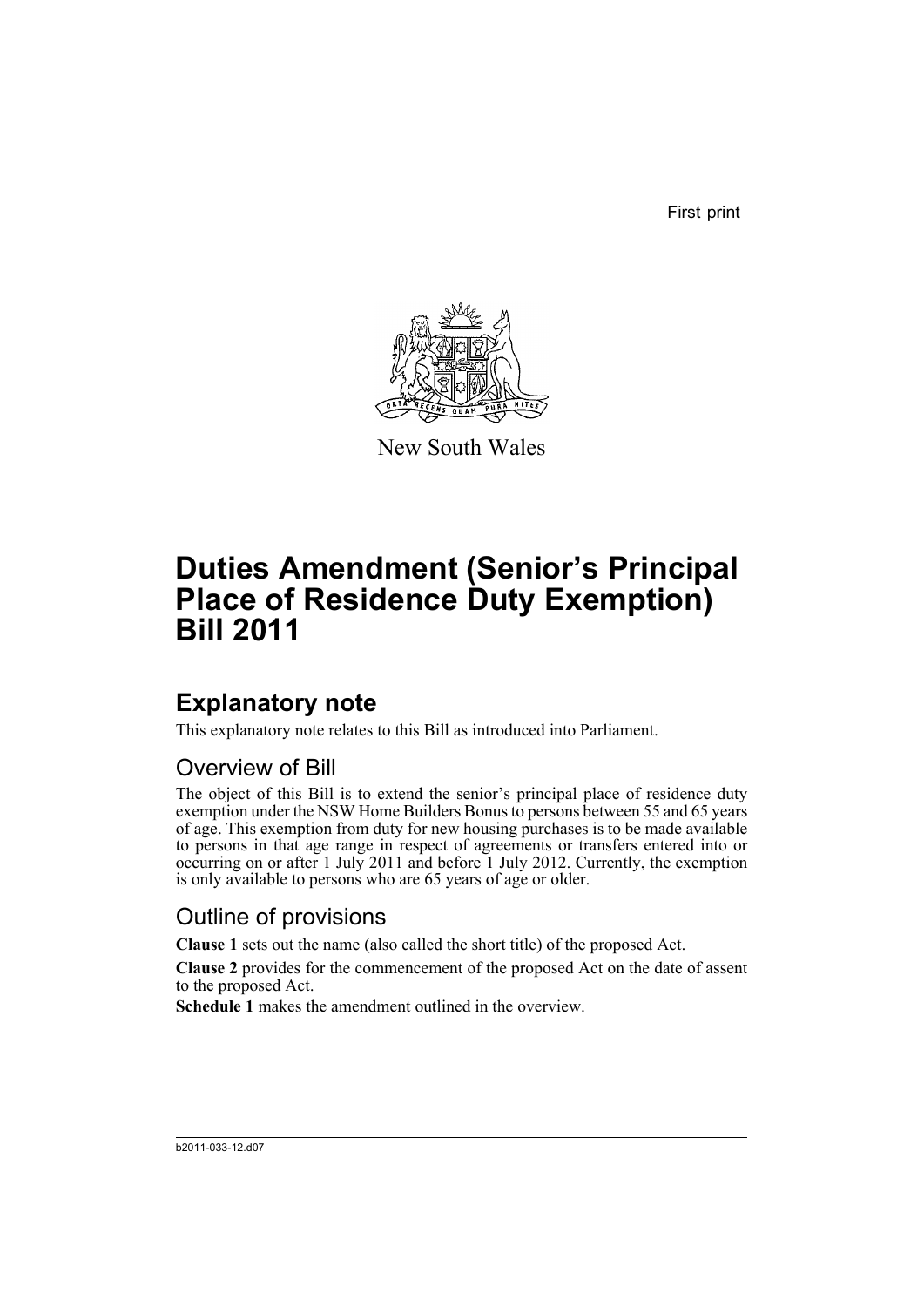First print



New South Wales

# **Duties Amendment (Senior's Principal Place of Residence Duty Exemption) Bill 2011**

## **Explanatory note**

This explanatory note relates to this Bill as introduced into Parliament.

#### Overview of Bill

The object of this Bill is to extend the senior's principal place of residence duty exemption under the NSW Home Builders Bonus to persons between 55 and 65 years of age. This exemption from duty for new housing purchases is to be made available to persons in that age range in respect of agreements or transfers entered into or occurring on or after 1 July 2011 and before 1 July 2012. Currently, the exemption is only available to persons who are 65 years of age or older.

#### Outline of provisions

**Clause 1** sets out the name (also called the short title) of the proposed Act.

**Clause 2** provides for the commencement of the proposed Act on the date of assent to the proposed Act.

**Schedule 1** makes the amendment outlined in the overview.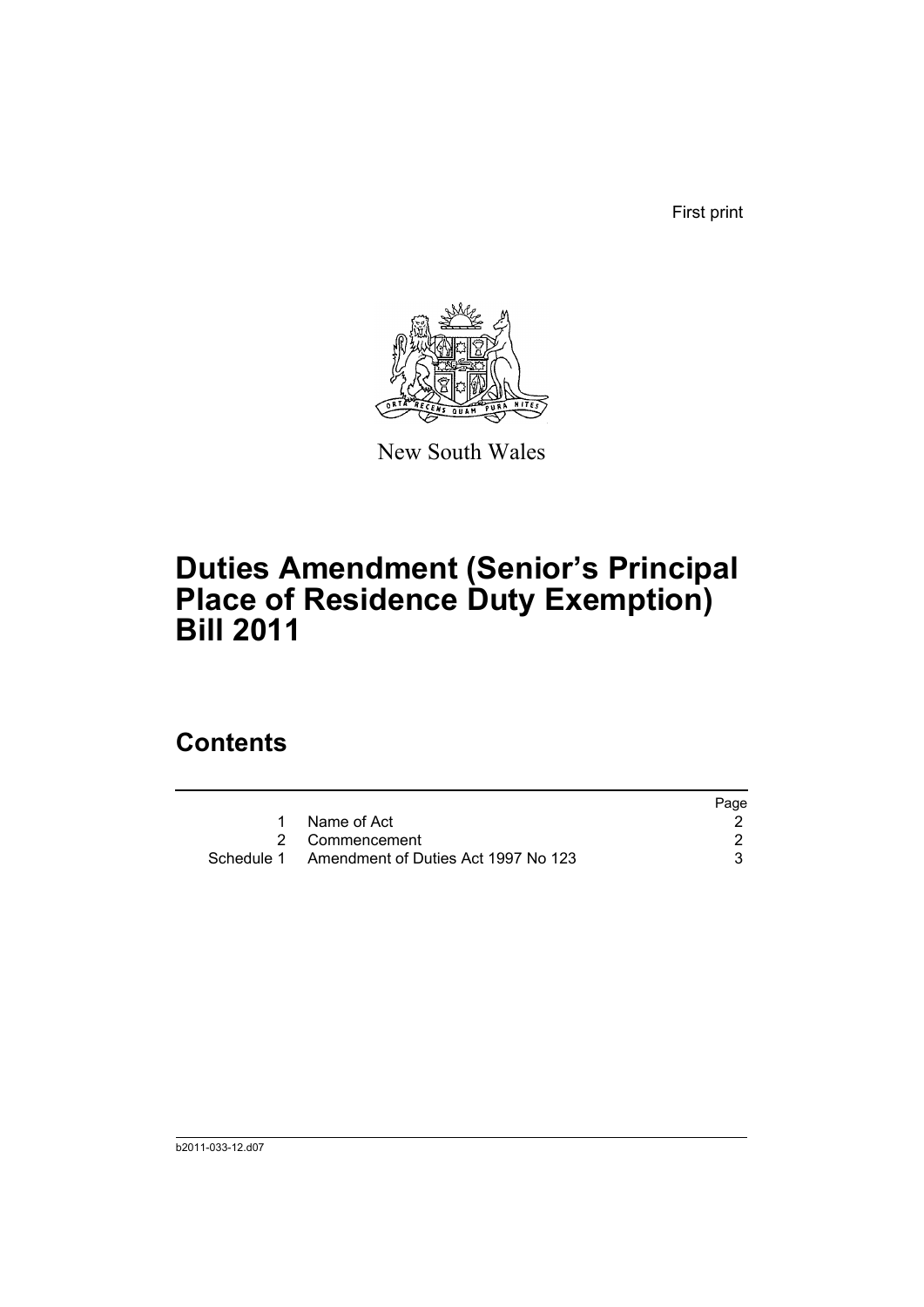First print



New South Wales

# **Duties Amendment (Senior's Principal Place of Residence Duty Exemption) Bill 2011**

## **Contents**

|                                                | Page |
|------------------------------------------------|------|
| Name of Act                                    |      |
| 2 Commencement                                 |      |
| Schedule 1 Amendment of Duties Act 1997 No 123 |      |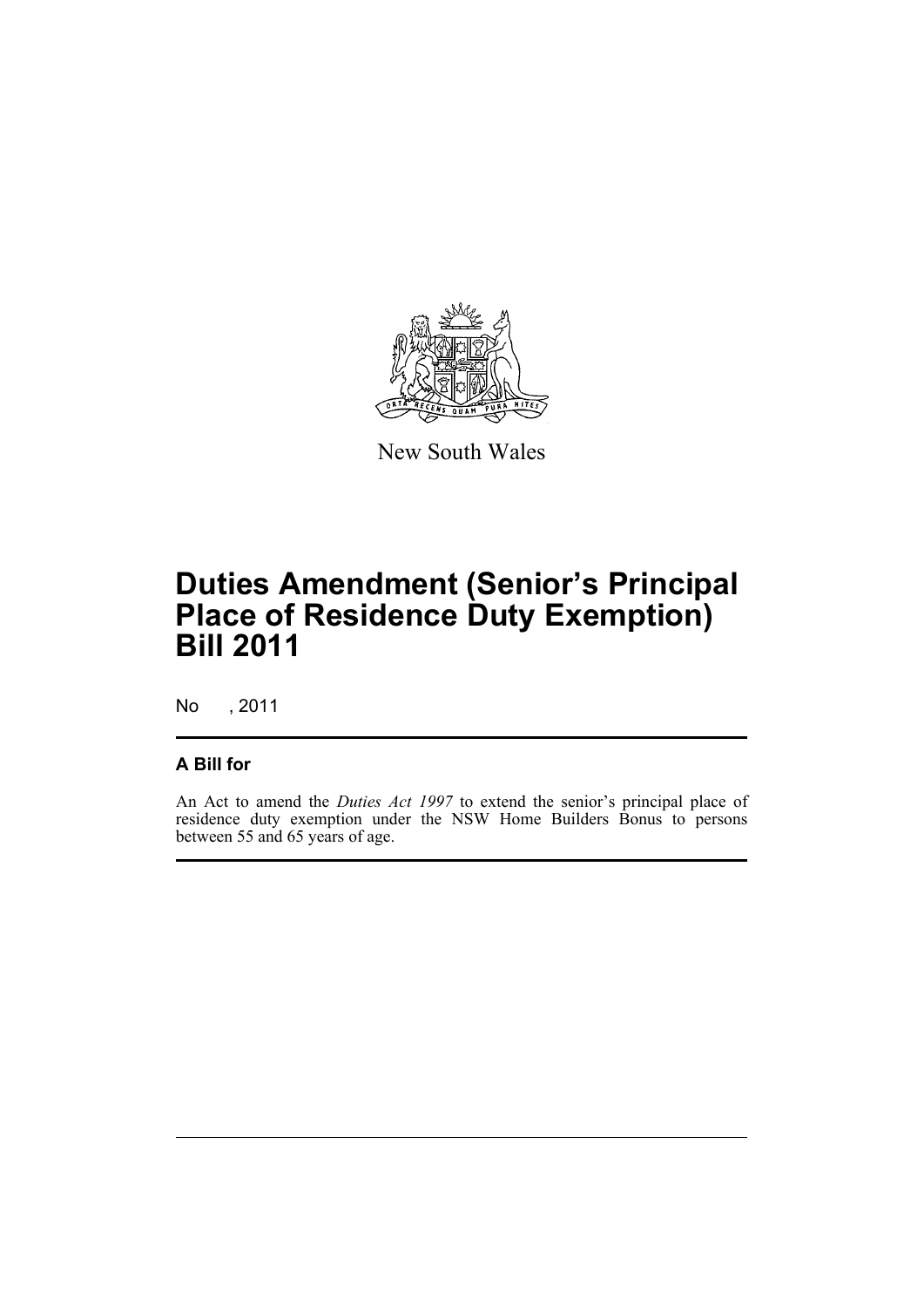

New South Wales

## **Duties Amendment (Senior's Principal Place of Residence Duty Exemption) Bill 2011**

No , 2011

#### **A Bill for**

An Act to amend the *Duties Act 1997* to extend the senior's principal place of residence duty exemption under the NSW Home Builders Bonus to persons between 55 and 65 years of age.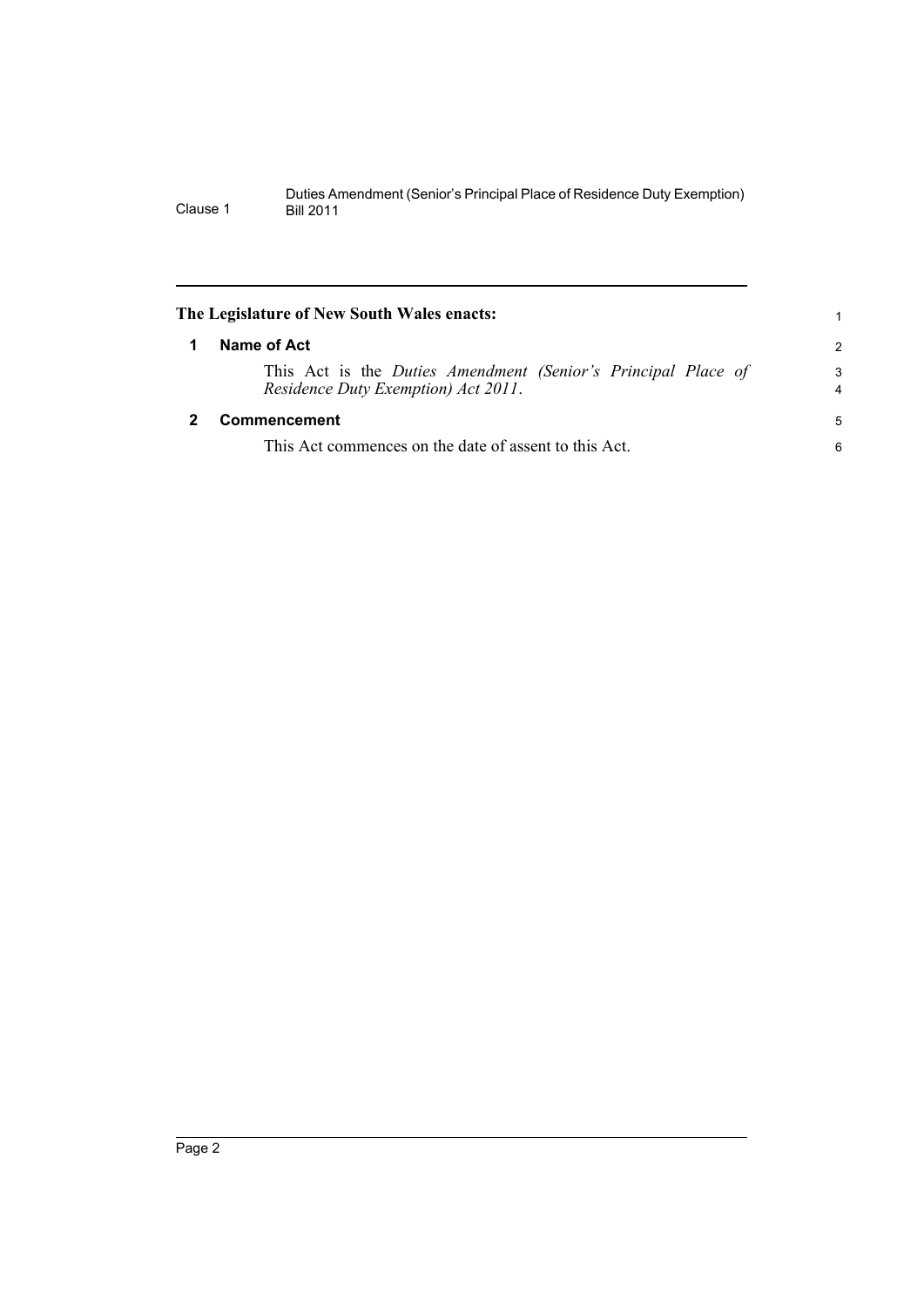<span id="page-5-1"></span><span id="page-5-0"></span>

| The Legislature of New South Wales enacts:                                                           | 1             |
|------------------------------------------------------------------------------------------------------|---------------|
| Name of Act                                                                                          | $\mathcal{P}$ |
| This Act is the Duties Amendment (Senior's Principal Place of<br>Residence Duty Exemption) Act 2011. | 3<br>4        |
| Commencement                                                                                         | 5             |
| This Act commences on the date of assent to this Act.                                                | 6             |
|                                                                                                      |               |